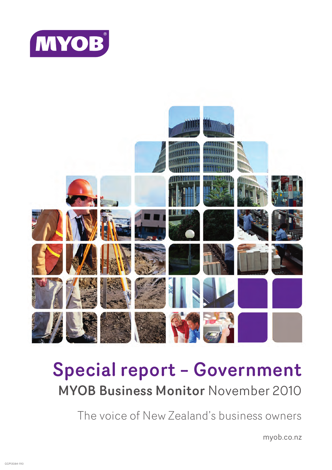



# Special report – Government MYOB Business Monitor November 2010

The voice of New Zealand's business owners

myob.co.nz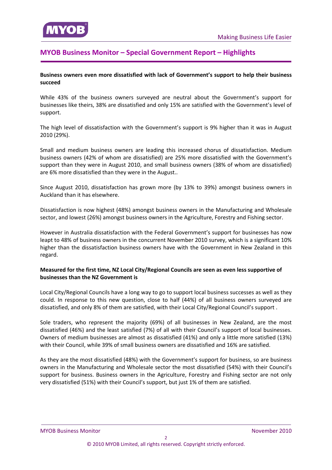<span id="page-1-0"></span>

## **MYOB Business Monitor – Special Government Report – Highlights**

#### **Business owners even more dissatisfied with lack of [Government's](#page-6-0) support to help their business succeed**

While 43% of the business owners surveyed are neutral about the Government's support for businesses like theirs, 38% are dissatisfied and only 15% are satisfied with the Government's level of support.

The high level of dissatisfaction with the Government's support is 9% higher than it was in August 2010 (29%).

Small and medium business owners are leading this increased chorus of dissatisfaction. Medium business owners (42% of whom are dissatisfied) are 25% more dissatisfied with the Government's support than they were in August 2010, and small business owners (38% of whom are dissatisfied) are 6% more dissatisfied than they were in the August..

Since August 2010, dissatisfaction has grown more (by 13% to 39%) amongst business owners in Auckland than it has elsewhere.

Dissatisfaction is now highest (48%) amongst business owners in the Manufacturing and Wholesale sector, and lowest (26%) amongst business owners in the Agriculture, Forestry and Fishing sector.

However in Australia dissatisfaction with the Federal Government's support for businesses has now leapt to 48% of business owners in the concurrent November 2010 survey, which is a significant 10% higher than the dissatisfaction business owners have with the Government in New Zealand in this regard.

#### **Measured for the first time, NZ Local [City/Regional](#page-9-0) Councils are seen as even less supportive of businesses than the NZ Government is**

Local City/Regional Councils have a long way to go to support local business successes as well as they could. In response to this new question, close to half (44%) of all business owners surveyed are dissatisfied, and only 8% of them are satisfied, with their Local City/Regional Council's support .

Sole traders, who represent the majority (69%) of all businesses in New Zealand, are the most dissatisfied (46%) and the least satisfied (7%) of all with their Council's support of local businesses. Owners of medium businesses are almost as dissatisfied (41%) and only a little more satisfied (13%) with their Council, while 39% of small business owners are dissatisfied and 16% are satisfied.

As they are the most dissatisfied (48%) with the Government's support for business, so are business owners in the Manufacturing and Wholesale sector the most dissatisfied (54%) with their Council's support for business. Business owners in the Agriculture, Forestry and Fishing sector are not only very dissatisfied (51%) with their Council's support, but just 1% of them are satisfied.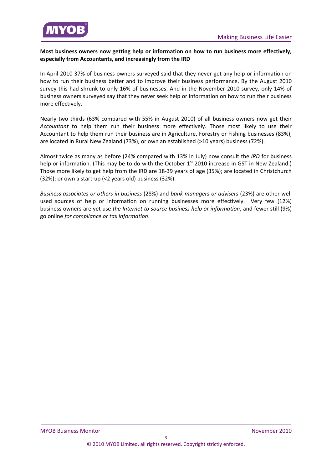

#### **Most business owners now getting help or information on how to run business more effectively, especially from Accountants, and increasingly from the IRD**

In April 2010 37% of business owners surveyed said that they never get any help or information on how to run their business better and to improve their business [performance.](#page-14-0) By the August 2010 survey this had shrunk to only 16% of businesses. And in the November 2010 survey, only 14% of business owners surveyed say that they never seek help or information on how to run their business more effectively.

Nearly two thirds (63% compared with 55% in August 2010) of all business owners now get their *Accountant* to help them run their business more effectively. Those most likely to use their Accountant to help them run their business are in Agriculture, Forestry or Fishing businesses (83%), are located in Rural New Zealand (73%), or own an established (>10 years) business (72%).

Almost twice as many as before (24% compared with 13% in July) now consult the *IRD* for business help or information. (This may be to do with the October  $1<sup>st</sup>$  2010 increase in GST in New Zealand.) Those more likely to get help from the IRD are 18‐39 years of age (35%); are located in Christchurch (32%); or own a start‐up (<2 years old) business (32%).

*Business associates or others in business* (28%) and *bank managers or advisers* (23%) are other well used sources of help or information on running businesses more effectively. Very few (12%) business owners are yet use *the Internet to source business help or information*, and fewer still (9%) go online *for compliance or tax information*.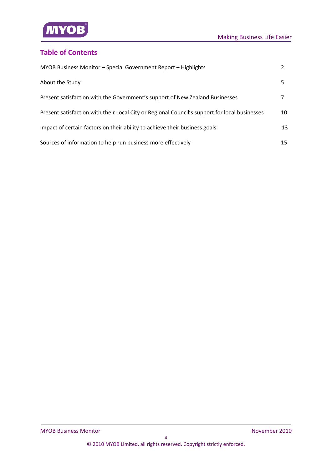

# **Table of Contents**

| MYOB Business Monitor - Special Government Report - Highlights                                |    |
|-----------------------------------------------------------------------------------------------|----|
| About the Study                                                                               | 5  |
| Present satisfaction with the Government's support of New Zealand Businesses                  | 7  |
| Present satisfaction with their Local City or Regional Council's support for local businesses | 10 |
| Impact of certain factors on their ability to achieve their business goals                    | 13 |
| Sources of information to help run business more effectively                                  | 15 |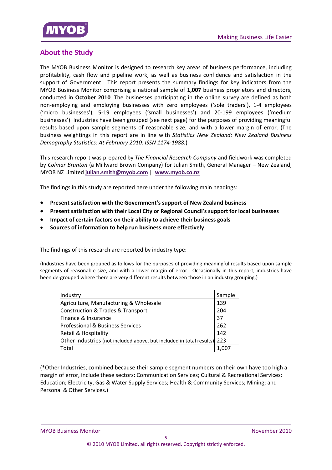<span id="page-4-0"></span>

# **About the Study**

The MYOB Business Monitor is designed to research key areas of business performance, including profitability, cash flow and pipeline work, as well as business confidence and satisfaction in the support of Government. This report presents the summary findings for key indicators from the MYOB Business Monitor comprising a national sample of **1,007** business proprietors and directors, conducted in **October 2010**. The businesses participating in the online survey are defined as both non-employing and employing businesses with zero employees ('sole traders'), 1-4 employees ('micro businesses'), 5‐19 employees ('small businesses') and 20‐199 employees ('medium businesses'). Industries have been grouped (see next page) for the purposes of providing meaningful results based upon sample segments of reasonable size, and with a lower margin of error. (The business weightings in this report are in line with *Statistics New Zealand: New Zealand Business Demography Statistics: At February 2010: ISSN 1174‐1988.*)

This research report was prepared by *The Financial Research Company* and fieldwork was completed by *Colmar Brunton* (a Millward Brown Company) for Julian Smith, General Manager – New Zealand, MYOB NZ Limited **julian.smith@myob.com** | **www.myob.co.nz**

The findings in this study are reported here under the following main headings:

- **Present satisfaction with the Government's support of New Zealand business**
- **Present satisfaction with their Local City or Regional Council's support for local businesses**
- **Impact of certain factors on their ability to achieve their business goals**
- **Sources of information to help run business more effectively**

The findings of this research are reported by industry type:

(Industries have been grouped as follows for the purposes of providing meaningful results based upon sample segments of reasonable size, and with a lower margin of error. Occasionally in this report, industries have been de-grouped where there are very different results between those in an industry grouping.)

| Industry                                                             | Sample |
|----------------------------------------------------------------------|--------|
| Agriculture, Manufacturing & Wholesale                               | 139    |
| <b>Construction &amp; Trades &amp; Transport</b>                     | 204    |
| Finance & Insurance                                                  | 37     |
| <b>Professional &amp; Business Services</b>                          | 262    |
| Retail & Hospitality                                                 | 142    |
| Other Industries (not included above, but included in total results) | 223    |
| Total                                                                |        |

(\*Other Industries, combined because their sample segment numbers on their own have too high a margin of error, include these sectors: Communication Services; Cultural & Recreational Services; Education; Electricity, Gas & Water Supply Services; Health & Community Services; Mining; and Personal & Other Services.)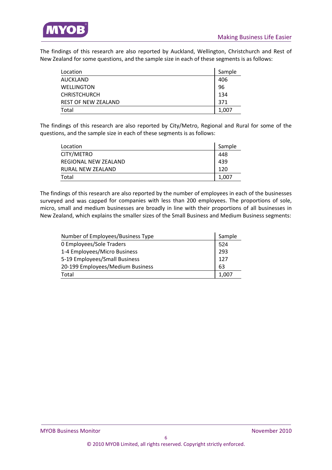

The findings of this research are also reported by Auckland, Wellington, Christchurch and Rest of New Zealand for some questions, and the sample size in each of these segments is as follows:

| Location            | Sample |
|---------------------|--------|
| AUCKLAND            | 406    |
| <b>WELLINGTON</b>   | 96     |
| <b>CHRISTCHURCH</b> | 134    |
| REST OF NEW ZEALAND | 371    |
| Total               | 1,007  |

The findings of this research are also reported by City/Metro, Regional and Rural for some of the questions, and the sample size in each of these segments is as follows:

| Location             | Sample |
|----------------------|--------|
| CITY/METRO           | 448    |
| REGIONAL NEW ZEALAND | 439    |
| RURAL NEW ZEALAND    | 120    |
| Total                | 1,007  |

The findings of this research are also reported by the number of employees in each of the businesses surveyed and was capped for companies with less than 200 employees. The proportions of sole, micro, small and medium businesses are broadly in line with their proportions of all businesses in New Zealand, which explains the smaller sizes of the Small Business and Medium Business segments:

| Number of Employees/Business Type |       |
|-----------------------------------|-------|
| 0 Employees/Sole Traders          | 524   |
| 1-4 Employees/Micro Business      | 293   |
| 5-19 Employees/Small Business     | 127   |
| 20-199 Employees/Medium Business  | 63    |
| Total                             | 1,007 |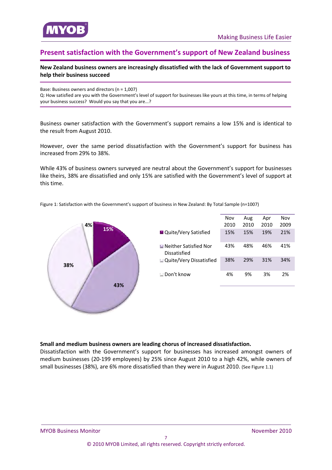<span id="page-6-0"></span>

## **Present satisfaction with the Government's support of New Zealand business**

**New Zealand business owners are increasingly dissatisfied with the lack of Government support to help their business succeed**

Base: Business owners and directors (n = 1,007) Q: How satisfied are you with the Government's level of support for businesses like yours at this time, in terms of helping your business success? Would you say that you are...?

Business owner satisfaction with the Government's support remains a low 15% and is identical to the result from August 2010.

However, over the same period dissatisfaction with the Government's support for business has increased from 29% to 38%.

While 43% of business owners surveyed are neutral about the Government's support for businesses like theirs, 38% are dissatisfied and only 15% are satisfied with the Government's level of support at this time.

Figure 1: Satisfaction with the Government's support of business in New Zealand: By Total Sample (n=1007)



#### **Small and medium business owners are leading chorus of increased dissatisfaction.**

Dissatisfaction with the Government's support for businesses has increased amongst owners of medium businesses (20‐199 employees) by 25% since August 2010 to a high 42%, while owners of small businesses (38%), are 6% more dissatisfied than they were in August 2010. (See Figure 1.1)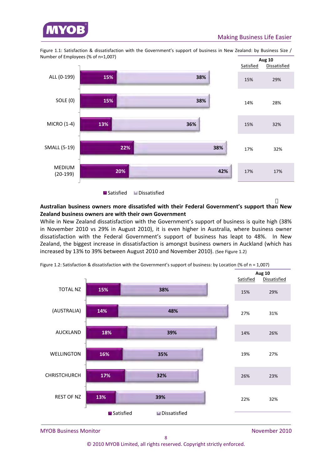

Figure 1.1: Satisfaction & dissatisfaction with the Government's support of business in New Zealand: by Business Size / Number of Employees (% of n=1,007)



**■** Satisfied ■ Dissatisfied

#### **Australian business owners more dissatisfed with their Federal Government's support than New Zealand business owners are with their own Government**

While in New Zealand dissatisfaction with the Government's support of business is quite high (38% in November 2010 vs 29% in August 2010), it is even higher in Australia, where business owner dissatisfaction with the Federal Government's support of business has leapt to 48%. In New Zealand, the biggest increase in dissatisfaction is amongst business owners in Auckland (which has increased by 13% to 39% between August 2010 and November 2010). (See Figure 1.2)



Figure 1.2: Satisfaction & dissatisfaction with the Government's support of business: by Location (% of n = 1,007)

MYOB Business Monitor *MYOB Business Monitor*  **1999** 

© 2010 MYOB Limited, all rights reserved. Copyright strictly enforced.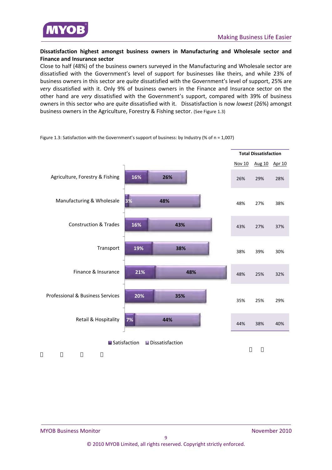#### **Dissatisfaction highest amongst business owners in Manufacturing and Wholesale sector and Finance and Insurance sector**

Close to half (48%) of the business owners surveyed in the Manufacturing and Wholesale sector are dissatisfied with the Government's level of support for businesses like theirs, and while 23% of business owners in this sector are *quite* dissatisfied with the Government's level of support, 25% are *very* dissatisfied with it. Only 9% of business owners in the Finance and Insurance sector on the other hand are *very* dissatisfied with the Government's support, compared with 39% of business owners in this sector who are *quite* dissatisfied with it. Dissatisfaction is now *lowest* (26%) amongst business owners in the Agriculture, Forestry & Fishing sector. (See Figure 1.3)



Figure 1.3: Satisfaction with the Government's support of business: by Industry (% of n = 1,007)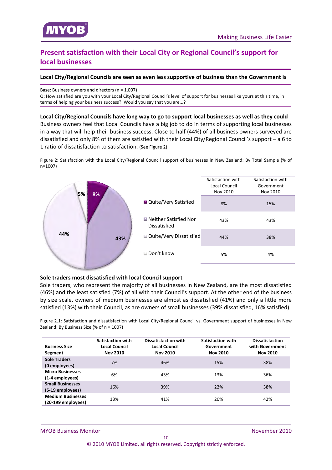# <span id="page-9-0"></span>**Present satisfaction with their Local City or Regional Council's support for local businesses**

#### **Local City/Regional Councils are seen as even less supportive of business than the Government is**

Base: Business owners and directors (n = 1,007)

Q: How satisfied are you with your Local City/Regional Council's level of support for businesses like yours at this time, in terms of helping your business success? Would you say that you are...?

**Local City/Regional Councils have long way to go to support local businesses as well as they could** Business owners feel that Local Councils have a big job to do in terms of supporting local businesses in a way that will help their business success. Close to half (44%) of all business owners surveyed are dissatisfied and only 8% of them are satisfied with their Local City/Regional Council's support – a 6 to 1 ratio of dissatisfaction to satisfaction. (See Figure 2)

Figure 2: Satisfaction with the Local City/Regional Council support of businesses in New Zealand: By Total Sample (% of n=1007)



#### **Sole traders most dissatisfied with local Council support**

Sole traders, who represent the majority of all businesses in New Zealand, are the most dissatisfied (46%) and the least satisfied (7%) of all with their Council's support. At the other end of the business by size scale, owners of medium businesses are almost as dissatisfied (41%) and only a little more satisfied (13%) with their Council, as are owners of small businesses (39% dissatisfied, 16% satisfied).

Figure 2.1: Satisfaction and dissatisfaction with Local City/Regional Council vs. Government support of businesses in New Zealand: By Business Size (% of n = 1007)

| <b>Business Size</b><br>Segment                | <b>Satisfaction with</b><br>Local Council<br><b>Nov 2010</b> | <b>Dissatisfaction with</b><br><b>Local Council</b><br><b>Nov 2010</b> | <b>Satisfaction with</b><br>Government<br><b>Nov 2010</b> | <b>Dissatisfaction</b><br>with Government<br><b>Nov 2010</b> |
|------------------------------------------------|--------------------------------------------------------------|------------------------------------------------------------------------|-----------------------------------------------------------|--------------------------------------------------------------|
| <b>Sole Traders</b><br>(0 employees)           | 7%                                                           | 46%                                                                    | 15%                                                       | 38%                                                          |
| <b>Micro Businesses</b><br>(1-4 employees)     | 6%                                                           | 43%                                                                    | 13%                                                       | 36%                                                          |
| <b>Small Businesses</b><br>(5-19 employees)    | 16%                                                          | 39%                                                                    | 22%                                                       | 38%                                                          |
| <b>Medium Businesses</b><br>(20-199 employees) | 13%                                                          | 41%                                                                    | 20%                                                       | 42%                                                          |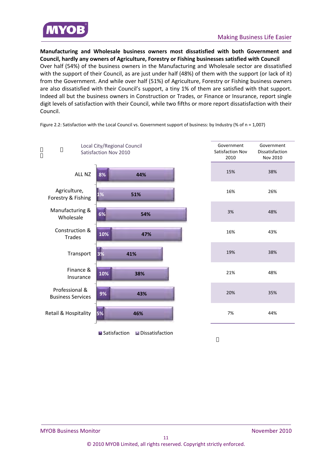

**Manufacturing and Wholesale business owners most dissatisfied with both Government and Council, hardly any owners of Agriculture, Forestry or Fishing businesses satisfied with Council** Over half (54%) of the business owners in the Manufacturing and Wholesale sector are dissatisfied with the support of their Council, as are just under half (48%) of them with the support (or lack of it) from the Government. And while over half (51%) of Agriculture, Forestry or Fishing business owners are also dissatisfied with their Council's support, a tiny 1% of them are satisfied with that support. Indeed all but the business owners in Construction or Trades, or Finance or Insurance, report single digit levels of satisfaction with their Council, while two fifths or more report dissatisfaction with their Council.

|                                            | Local City/Regional Council<br>Satisfaction Nov 2010 | Government<br>Satisfaction Nov<br>2010 | Government<br>Dissatisfaction<br>Nov 2010 |
|--------------------------------------------|------------------------------------------------------|----------------------------------------|-------------------------------------------|
| ALL NZ                                     | 8%<br>44%                                            | 15%                                    | 38%                                       |
| Agriculture,<br>Forestry & Fishing         | 1%<br>51%                                            | 16%                                    | 26%                                       |
| Manufacturing &<br>Wholesale               | 6%<br>54%                                            | 3%                                     | 48%                                       |
| Construction &<br><b>Trades</b>            | 10%<br>47%                                           | 16%                                    | 43%                                       |
| Transport                                  | 3%<br>41%                                            | 19%                                    | 38%                                       |
| Finance &<br>Insurance                     | 10%<br>38%                                           | 21%                                    | 48%                                       |
| Professional &<br><b>Business Services</b> | 9%<br>43%                                            | 20%                                    | 35%                                       |
| Retail & Hospitality                       | 5%<br>46%                                            | 7%                                     | 44%                                       |
|                                            | Satisfaction<br>Dissatisfaction                      |                                        |                                           |

Figure 2.2: Satisfaction with the Local Council vs. Government support of business: by Industry (% of n = 1,007)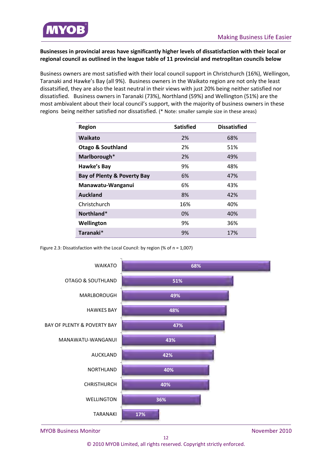

#### **Businesses in provincial areas have significantly higher levels of dissatisfaction with their local or regional council as outlined in the league table of 11 provincial and metroplitan councils below**

Business owners are most satisfied with their local council support in Christchurch (16%), Wellingon, Taranaki and Hawke's Bay (all 9%). Business owners in the Waikato region are not only the least dissatsified, they are also the least neutral in their views with just 20% being neither satisfied nor dissatisfied. Business owners in Taranaki (73%), Northland (59%) and Wellington (51%) are the most ambivalent about their local council's support, with the majority of business owners in these regions being neither satisfied nor dissatisfied. (\* Note: smaller sample size in these areas)

| <b>Region</b>                          | <b>Satisfied</b> | <b>Dissatisfied</b> |
|----------------------------------------|------------------|---------------------|
| Waikato                                | 2%               | 68%                 |
| <b>Otago &amp; Southland</b>           | 2%               | 51%                 |
| Marlborough*                           | 2%               | 49%                 |
| Hawke's Bay                            | 9%               | 48%                 |
| <b>Bay of Plenty &amp; Poverty Bay</b> | 6%               | 47%                 |
| Manawatu-Wanganui                      | 6%               | 43%                 |
| <b>Auckland</b>                        | 8%               | 42%                 |
| Christchurch                           | 16%              | 40%                 |
| Northland*                             | 0%               | 40%                 |
| Wellington                             | 9%               | 36%                 |
| Taranaki*                              | 9%               | 17%                 |

Figure 2.3: Dissatisfaction with the Local Council: by region (% of n = 1,007)



MYOB Business Monitor *MYOB Business Monitor*  **1999** 

© 2010 MYOB Limited, all rights reserved. Copyright strictly enforced.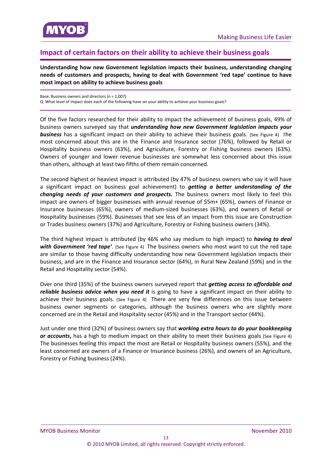<span id="page-12-0"></span>

## **Impact of certain factors on their ability to achieve their business goals**

**Understanding how new Government legislation impacts their business, understanding changing needs of customers and prospects, having to deal with Government 'red tape' continue to have most impact on ability to achieve business goals**

Base: Business owners and directors (n = 1,007) Q. What level of impact does each of the following have on your ability to achieve your business goals?

Of the five factors researched for their ability to impact the achievement of business goals, 49% of business owners surveyed say that *understanding how new Government legislation impacts your* **business** has a significant impact on their ability to achieve their business goals. (See Figure 4) The most concerned about this are in the Finance and Insurance sector (76%), followed by Retail or Hospitality business owners (63%), and Agriculture, Forestry or Fishing business owners (63%). Owners of younger and lower revenue businesses are somewhat less concerned about this issue than others, although at least two fifths of them remain concerned.

The second highest or heaviest impact is attributed (by 47% of business owners who say it will have a significant impact on business goal achievement) to *getting a better understanding of the changing needs of your customers and prospects.* The business owners most likely to feel this impact are owners of bigger businesses with annual revenue of \$5m+ (65%), owners of Finance or Insurance businesses (65%), owners of medium‐sized businesses (63%), and owners of Retail or Hospitality businesses (59%). Businesses that see less of an impact from this issue are Construction or Trades business owners (37%) and Agriculture, Forestry or Fishing business owners (34%).

The third highest impact is attributed (by 46% who say medium to high impact) to *having to deal with Government 'red tape'*. (See Figure 4) The business owners who most want to cut the red tape are similar to those having difficulty understanding how new Government legislation impacts their business, and are in the Finance and Insurance sector (64%), in Rural New Zealand (59%) and in the Retail and Hospitality sector (54%).

Over one third (35%) of the business owners surveyed report that *getting access to affordable and reliable business advice when you need it* is going to have a significant impact on their ability to achieve their business goals. (See Figure 4) There are very few differences on this issue between business owner segments or categories, although the business owners who are slightly more concerned are in the Retail and Hospitality sector (45%) and in the Transport sector (44%).

Just under one third (32%) of business owners say that *working extra hours to do your bookkeeping or accounts***,** has a high to medium impact on their ability to meet their business goals (See Figure 4) The businesses feeling this impact the most are Retail or Hospitality business owners (55%), and the least concerned are owners of a Finance or Insurance business (26%), and owners of an Agriculture, Forestry or Fishing business (24%).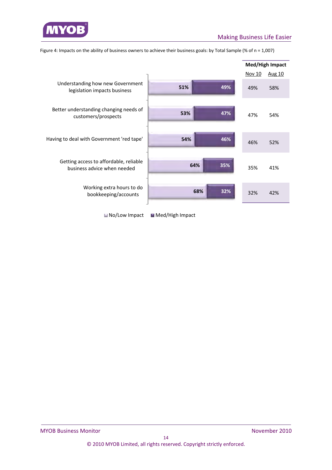

Figure 4: Impacts on the ability of business owners to achieve their business goals: by Total Sample (% of n = 1,007)



Mo/Low Impact Med/High Impact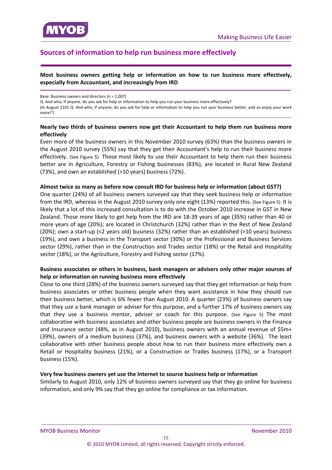<span id="page-14-0"></span>

# **Sources of information to help run business more effectively**

#### **Most business owners getting help or information on how to run business more effectively, especially from Accountant, and increasingly from IRD**

Base: Business owners and directors (n = 1,007)

Q. And who, if anyone, do you ask for help or information to help you run your business more effectively? (In August 2101 Q. And who, if anyone, do you ask for help or information to help you run your business better, and so enjoy your work more?')

#### **Nearly two thirds of business owners now get their Accountant to help them run business more effectively**

Even more of the business owners in this November 2010 survey (63%) than the business owners in the August 2010 survey (55%) say that they get their Accountant's help to run their business more effectively. (See Figure 5) Those most likely to use their Accountant to help them run their business better are in Agriculture, Forestry or Fishing businesses (83%), are located in Rural New Zealand (73%), and own an established (>10 years) business (72%).

#### **Almost twice as many as before now consult IRD for business help or information (about GST?)**

One quarter (24%) of all business owners surveyed say that they seek business help or information from the IRD, whereas in the August 2010 survey only one eight (13%) reported this. (See Figure 5) It is likely that a lot of this increased consultation is to do with the October 2010 increase in GST in New Zealand. Those more likely to get help from the IRD are 18‐39 years of age (35%) rather than 40 or more years of age (20%); are located in Christchurch (32%) rather than in the Rest of New Zealand (20%); own a start‐up (<2 years old) business (32%) rather than an established (>10 years) business (19%), and own a business in the Transport sector (30%) or the Professional and Business Services sector (29%), rather than in the Construction and Trades sector (18%) or the Retail and Hospitality sector (18%), or the Agriculture, Forestry and Fishing sector (17%).

#### **Business associates or others in business, bank managers or advisers only other major sources of help or information on running business more effectively**

Close to one third (28%) of the business owners surveyed say that they get information or help from business associates or other business people when they want assistance in how they should run their business better, which is 6% fewer than August 2010. A quarter (23%) of business owners say that they use a bank manager or adviser for this purpose, and a further 17% of business owners say that they use a business mentor, adviser or coach for this purpose. (See Figure 5) The most collaborative with business associates and other business people are business owners in the Finance and Insurance sector (48%, as in August 2010), business owners with an annual revenue of \$5m+ (39%), owners of a medium business (37%), and business owners with a website (36%). The least collaborative with other business people about how to run their business more effectively own a Retail or Hospitality business (21%), or a Construction or Trades business (17%), or a Transport business (15%).

#### **Very few business owners yet use the Internet to source business help or information**

Similarly to August 2010, only 12% of business owners surveyed say that they go online for business information, and only 9% say that they go online for compliance or tax information.